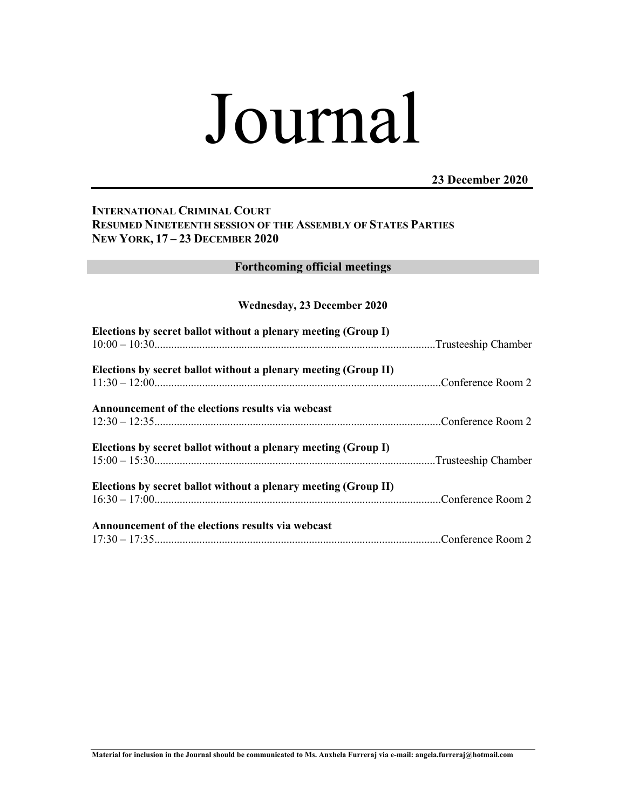# Journal

# **23 December 2020**

# **INTERNATIONAL CRIMINAL COURT RESUMED NINETEENTH SESSION OF THE ASSEMBLY OF STATES PARTIES NEW YORK, 17 – 23 DECEMBER 2020**

# **Forthcoming official meetings**

## **Wednesday, 23 December 2020**

| Elections by secret ballot without a plenary meeting (Group I)  |  |
|-----------------------------------------------------------------|--|
| Elections by secret ballot without a plenary meeting (Group II) |  |
| Announcement of the elections results via webcast               |  |
| Elections by secret ballot without a plenary meeting (Group I)  |  |
| Elections by secret ballot without a plenary meeting (Group II) |  |
| Announcement of the elections results via webcast               |  |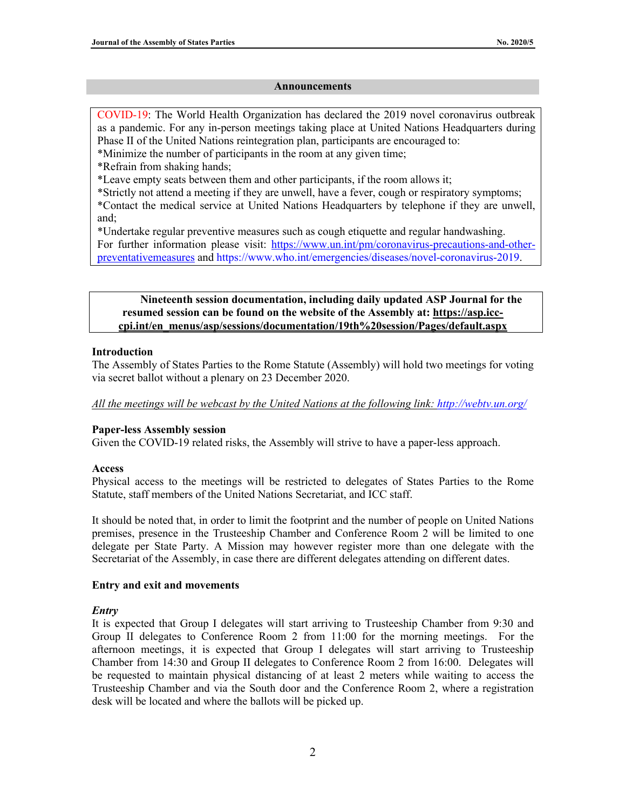#### **Announcements**

COVID-19: The World Health Organization has declared the 2019 novel coronavirus outbreak as a pandemic. For any in-person meetings taking place at United Nations Headquarters during Phase II of the United Nations reintegration plan, participants are encouraged to:

- \*Minimize the number of participants in the room at any given time;
- \*Refrain from shaking hands;

\*Leave empty seats between them and other participants, if the room allows it;

\*Strictly not attend a meeting if they are unwell, have a fever, cough or respiratory symptoms; \*Contact the medical service at United Nations Headquarters by telephone if they are unwell, and;

\*Undertake regular preventive measures such as cough etiquette and regular handwashing.

For further information please visit: https://www.un.int/pm/coronavirus-precautions-and-otherpreventativemeasures and https://www.who.int/emergencies/diseases/novel-coronavirus-2019.

**Nineteenth session documentation, including daily updated ASP Journal for the resumed session can be found on the website of the Assembly at: https://asp.icccpi.int/en\_menus/asp/sessions/documentation/19th%20session/Pages/default.aspx**

## **Introduction**

The Assembly of States Parties to the Rome Statute (Assembly) will hold two meetings for voting via secret ballot without a plenary on 23 December 2020.

*All the meetings will be webcast by the United Nations at the following link: http://webtv.un.org/*

## **Paper-less Assembly session**

Given the COVID-19 related risks, the Assembly will strive to have a paper-less approach.

#### **Access**

Physical access to the meetings will be restricted to delegates of States Parties to the Rome Statute, staff members of the United Nations Secretariat, and ICC staff.

It should be noted that, in order to limit the footprint and the number of people on United Nations premises, presence in the Trusteeship Chamber and Conference Room 2 will be limited to one delegate per State Party. A Mission may however register more than one delegate with the Secretariat of the Assembly, in case there are different delegates attending on different dates.

#### **Entry and exit and movements**

## *Entry*

It is expected that Group I delegates will start arriving to Trusteeship Chamber from 9:30 and Group II delegates to Conference Room 2 from 11:00 for the morning meetings. For the afternoon meetings, it is expected that Group I delegates will start arriving to Trusteeship Chamber from 14:30 and Group II delegates to Conference Room 2 from 16:00. Delegates will be requested to maintain physical distancing of at least 2 meters while waiting to access the Trusteeship Chamber and via the South door and the Conference Room 2, where a registration desk will be located and where the ballots will be picked up.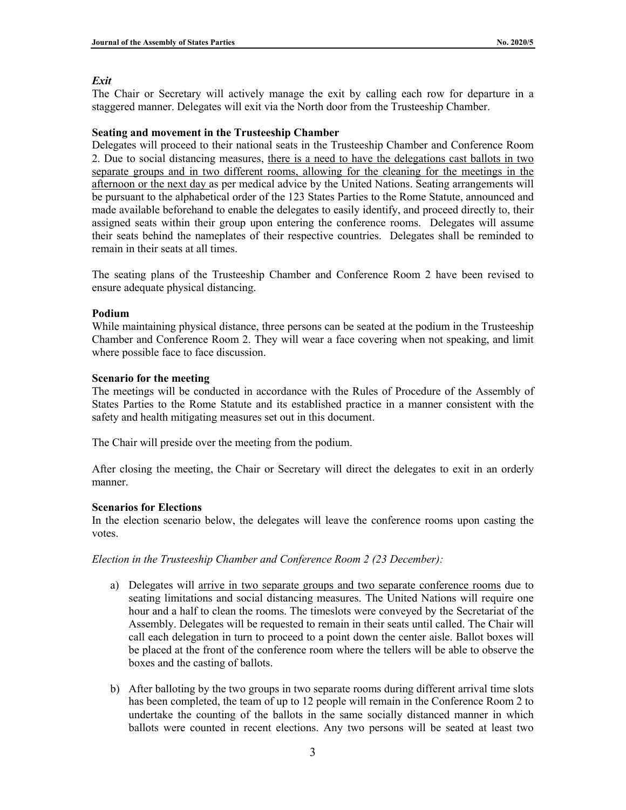#### *Exit*

The Chair or Secretary will actively manage the exit by calling each row for departure in a staggered manner. Delegates will exit via the North door from the Trusteeship Chamber.

#### **Seating and movement in the Trusteeship Chamber**

Delegates will proceed to their national seats in the Trusteeship Chamber and Conference Room 2. Due to social distancing measures, there is a need to have the delegations cast ballots in two separate groups and in two different rooms, allowing for the cleaning for the meetings in the afternoon or the next day as per medical advice by the United Nations. Seating arrangements will be pursuant to the alphabetical order of the 123 States Parties to the Rome Statute, announced and made available beforehand to enable the delegates to easily identify, and proceed directly to, their assigned seats within their group upon entering the conference rooms. Delegates will assume their seats behind the nameplates of their respective countries. Delegates shall be reminded to remain in their seats at all times.

The seating plans of the Trusteeship Chamber and Conference Room 2 have been revised to ensure adequate physical distancing.

## **Podium**

While maintaining physical distance, three persons can be seated at the podium in the Trusteeship Chamber and Conference Room 2. They will wear a face covering when not speaking, and limit where possible face to face discussion.

## **Scenario for the meeting**

The meetings will be conducted in accordance with the Rules of Procedure of the Assembly of States Parties to the Rome Statute and its established practice in a manner consistent with the safety and health mitigating measures set out in this document.

The Chair will preside over the meeting from the podium.

After closing the meeting, the Chair or Secretary will direct the delegates to exit in an orderly manner.

#### **Scenarios for Elections**

In the election scenario below, the delegates will leave the conference rooms upon casting the votes.

*Election in the Trusteeship Chamber and Conference Room 2 (23 December):*

- a) Delegates will arrive in two separate groups and two separate conference rooms due to seating limitations and social distancing measures. The United Nations will require one hour and a half to clean the rooms. The timeslots were conveyed by the Secretariat of the Assembly. Delegates will be requested to remain in their seats until called. The Chair will call each delegation in turn to proceed to a point down the center aisle. Ballot boxes will be placed at the front of the conference room where the tellers will be able to observe the boxes and the casting of ballots.
- b) After balloting by the two groups in two separate rooms during different arrival time slots has been completed, the team of up to 12 people will remain in the Conference Room 2 to undertake the counting of the ballots in the same socially distanced manner in which ballots were counted in recent elections. Any two persons will be seated at least two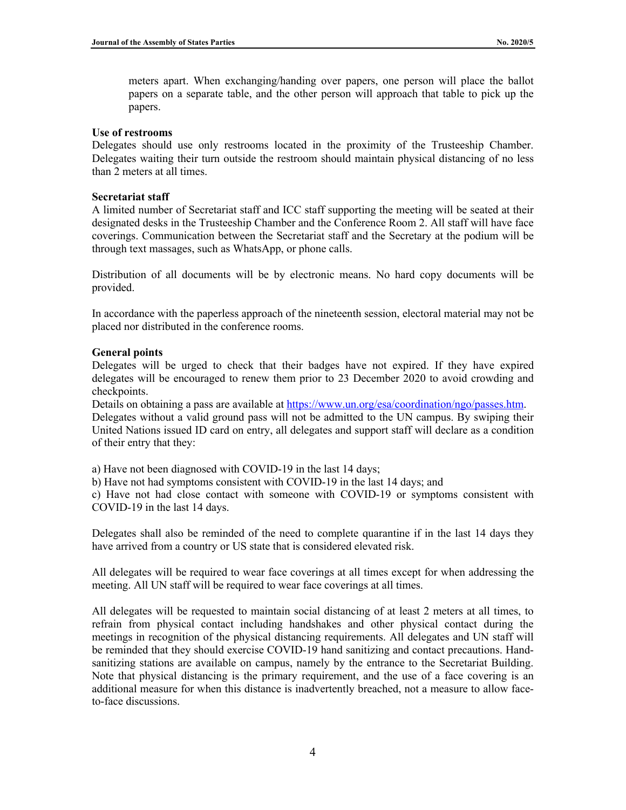meters apart. When exchanging/handing over papers, one person will place the ballot papers on a separate table, and the other person will approach that table to pick up the papers.

#### **Use of restrooms**

Delegates should use only restrooms located in the proximity of the Trusteeship Chamber. Delegates waiting their turn outside the restroom should maintain physical distancing of no less than 2 meters at all times.

#### **Secretariat staff**

A limited number of Secretariat staff and ICC staff supporting the meeting will be seated at their designated desks in the Trusteeship Chamber and the Conference Room 2. All staff will have face coverings. Communication between the Secretariat staff and the Secretary at the podium will be through text massages, such as WhatsApp, or phone calls.

Distribution of all documents will be by electronic means. No hard copy documents will be provided.

In accordance with the paperless approach of the nineteenth session, electoral material may not be placed nor distributed in the conference rooms.

#### **General points**

Delegates will be urged to check that their badges have not expired. If they have expired delegates will be encouraged to renew them prior to 23 December 2020 to avoid crowding and checkpoints.

Details on obtaining a pass are available at https://www.un.org/esa/coordination/ngo/passes.htm. Delegates without a valid ground pass will not be admitted to the UN campus. By swiping their United Nations issued ID card on entry, all delegates and support staff will declare as a condition of their entry that they:

a) Have not been diagnosed with COVID-19 in the last 14 days;

b) Have not had symptoms consistent with COVID-19 in the last 14 days; and

c) Have not had close contact with someone with COVID-19 or symptoms consistent with COVID-19 in the last 14 days.

Delegates shall also be reminded of the need to complete quarantine if in the last 14 days they have arrived from a country or US state that is considered elevated risk.

All delegates will be required to wear face coverings at all times except for when addressing the meeting. All UN staff will be required to wear face coverings at all times.

All delegates will be requested to maintain social distancing of at least 2 meters at all times, to refrain from physical contact including handshakes and other physical contact during the meetings in recognition of the physical distancing requirements. All delegates and UN staff will be reminded that they should exercise COVID-19 hand sanitizing and contact precautions. Handsanitizing stations are available on campus, namely by the entrance to the Secretariat Building. Note that physical distancing is the primary requirement, and the use of a face covering is an additional measure for when this distance is inadvertently breached, not a measure to allow faceto-face discussions.